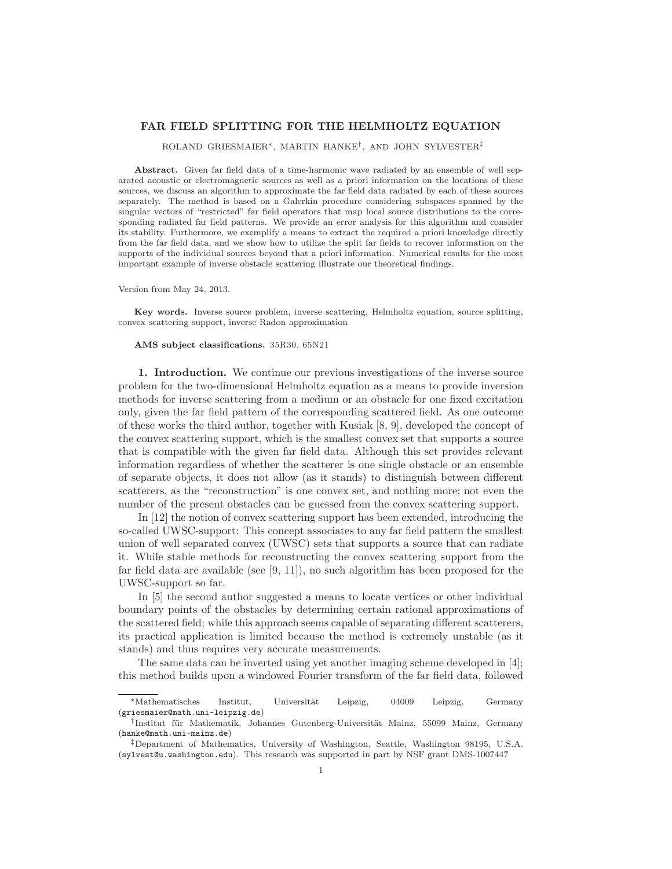## FAR FIELD SPLITTING FOR THE HELMHOLTZ EQUATION

ROLAND GRIESMAIER<sup>∗</sup> , MARTIN HANKE† , AND JOHN SYLVESTER‡

Abstract. Given far field data of a time-harmonic wave radiated by an ensemble of well separated acoustic or electromagnetic sources as well as a priori information on the locations of these sources, we discuss an algorithm to approximate the far field data radiated by each of these sources separately. The method is based on a Galerkin procedure considering subspaces spanned by the singular vectors of "restricted" far field operators that map local source distributions to the corresponding radiated far field patterns. We provide an error analysis for this algorithm and consider its stability. Furthermore, we exemplify a means to extract the required a priori knowledge directly from the far field data, and we show how to utilize the split far fields to recover information on the supports of the individual sources beyond that a priori information. Numerical results for the most important example of inverse obstacle scattering illustrate our theoretical findings.

Version from May 24, 2013.

Key words. Inverse source problem, inverse scattering, Helmholtz equation, source splitting, convex scattering support, inverse Radon approximation

AMS subject classifications. 35R30, 65N21

1. Introduction. We continue our previous investigations of the inverse source problem for the two-dimensional Helmholtz equation as a means to provide inversion methods for inverse scattering from a medium or an obstacle for one fixed excitation only, given the far field pattern of the corresponding scattered field. As one outcome of these works the third author, together with Kusiak [8, 9], developed the concept of the convex scattering support, which is the smallest convex set that supports a source that is compatible with the given far field data. Although this set provides relevant information regardless of whether the scatterer is one single obstacle or an ensemble of separate objects, it does not allow (as it stands) to distinguish between different scatterers, as the "reconstruction" is one convex set, and nothing more; not even the number of the present obstacles can be guessed from the convex scattering support.

In [12] the notion of convex scattering support has been extended, introducing the so-called UWSC-support: This concept associates to any far field pattern the smallest union of well separated convex (UWSC) sets that supports a source that can radiate it. While stable methods for reconstructing the convex scattering support from the far field data are available (see [9, 11]), no such algorithm has been proposed for the UWSC-support so far.

In [5] the second author suggested a means to locate vertices or other individual boundary points of the obstacles by determining certain rational approximations of the scattered field; while this approach seems capable of separating different scatterers, its practical application is limited because the method is extremely unstable (as it stands) and thus requires very accurate measurements.

The same data can be inverted using yet another imaging scheme developed in [4]; this method builds upon a windowed Fourier transform of the far field data, followed

<sup>∗</sup>Mathematisches Institut, Universit¨at Leipzig, 04009 Leipzig, Germany (griesmaier@math.uni-leipzig.de)

<sup>&</sup>lt;sup>†</sup>Institut für Mathematik, Johannes Gutenberg-Universität Mainz, 55099 Mainz, Germany (hanke@math.uni-mainz.de)

<sup>‡</sup>Department of Mathematics, University of Washington, Seattle, Washington 98195, U.S.A. (sylvest@u.washington.edu). This research was supported in part by NSF grant DMS-1007447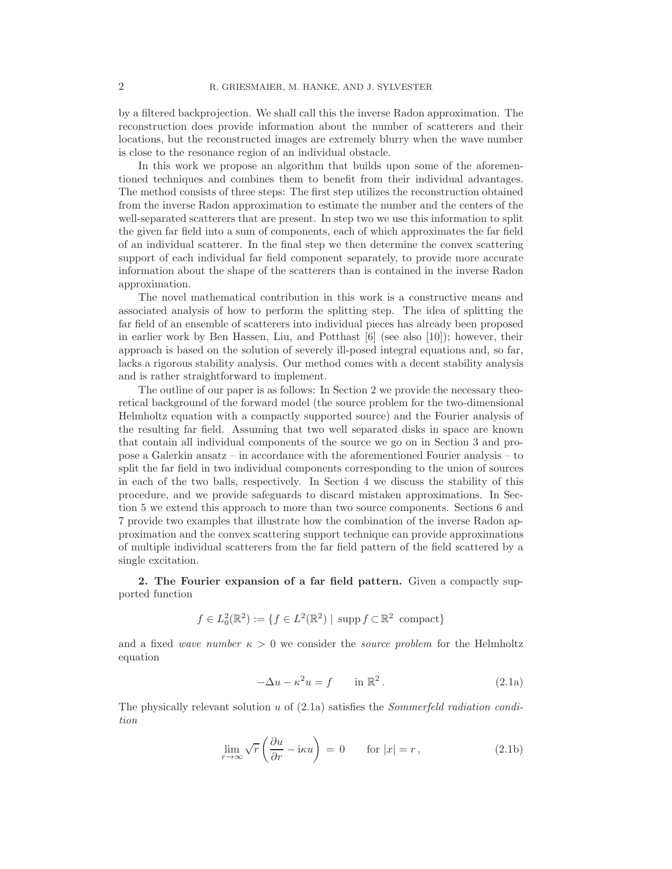by a filtered backprojection. We shall call this the inverse Radon approximation. The reconstruction does provide information about the number of scatterers and their locations, but the reconstructed images are extremely blurry when the wave number is close to the resonance region of an individual obstacle.

In this work we propose an algorithm that builds upon some of the aforementioned techniques and combines them to benefit from their individual advantages. The method consists of three steps: The first step utilizes the reconstruction obtained from the inverse Radon approximation to estimate the number and the centers of the well-separated scatterers that are present. In step two we use this information to split the given far field into a sum of components, each of which approximates the far field of an individual scatterer. In the final step we then determine the convex scattering support of each individual far field component separately, to provide more accurate information about the shape of the scatterers than is contained in the inverse Radon approximation.

The novel mathematical contribution in this work is a constructive means and associated analysis of how to perform the splitting step. The idea of splitting the far field of an ensemble of scatterers into individual pieces has already been proposed in earlier work by Ben Hassen, Liu, and Potthast [6] (see also [10]); however, their approach is based on the solution of severely ill-posed integral equations and, so far, lacks a rigorous stability analysis. Our method comes with a decent stability analysis and is rather straightforward to implement.

The outline of our paper is as follows: In Section 2 we provide the necessary theoretical background of the forward model (the source problem for the two-dimensional Helmholtz equation with a compactly supported source) and the Fourier analysis of the resulting far field. Assuming that two well separated disks in space are known that contain all individual components of the source we go on in Section 3 and propose a Galerkin ansatz – in accordance with the aforementioned Fourier analysis – to split the far field in two individual components corresponding to the union of sources in each of the two balls, respectively. In Section 4 we discuss the stability of this procedure, and we provide safeguards to discard mistaken approximations. In Section 5 we extend this approach to more than two source components. Sections 6 and 7 provide two examples that illustrate how the combination of the inverse Radon approximation and the convex scattering support technique can provide approximations of multiple individual scatterers from the far field pattern of the field scattered by a single excitation.

2. The Fourier expansion of a far field pattern. Given a compactly supported function

$$
f \in L_0^2(\mathbb{R}^2) := \{ f \in L^2(\mathbb{R}^2) \mid \operatorname{supp} f \subset \mathbb{R}^2 \text{ compact} \}
$$

and a fixed wave number  $\kappa > 0$  we consider the source problem for the Helmholtz equation

$$
-\Delta u - \kappa^2 u = f \qquad \text{in } \mathbb{R}^2. \tag{2.1a}
$$

The physically relevant solution  $u$  of  $(2.1a)$  satisfies the *Sommerfeld radiation condi*tion

$$
\lim_{r \to \infty} \sqrt{r} \left( \frac{\partial u}{\partial r} - i\kappa u \right) = 0 \quad \text{for } |x| = r,
$$
\n(2.1b)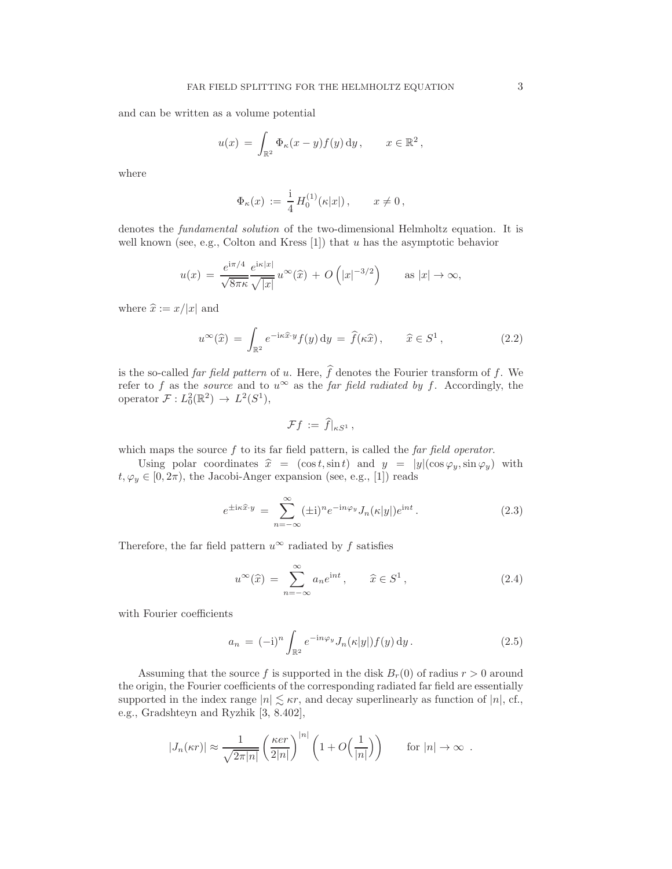and can be written as a volume potential

$$
u(x) = \int_{\mathbb{R}^2} \Phi_{\kappa}(x - y) f(y) \, dy, \qquad x \in \mathbb{R}^2,
$$

where

$$
\Phi_{\kappa}(x) := \frac{1}{4} H_0^{(1)}(\kappa |x|) , \qquad x \neq 0 ,
$$

denotes the fundamental solution of the two-dimensional Helmholtz equation. It is well known (see, e.g., Colton and Kress  $[1]$ ) that  $u$  has the asymptotic behavior

$$
u(x) = \frac{e^{i\pi/4}}{\sqrt{8\pi\kappa}} \frac{e^{i\kappa|x|}}{\sqrt{|x|}} u^{\infty}(\widehat{x}) + O\left(|x|^{-3/2}\right) \quad \text{as } |x| \to \infty,
$$

where  $\hat{x} := x/|x|$  and

$$
u^{\infty}(\hat{x}) = \int_{\mathbb{R}^2} e^{-i\kappa \hat{x} \cdot y} f(y) \, dy = \hat{f}(\kappa \hat{x}), \qquad \hat{x} \in S^1,
$$
 (2.2)

is the so-called *far field pattern* of u. Here,  $\hat{f}$  denotes the Fourier transform of f. We refer to f as the source and to  $u^{\infty}$  as the far field radiated by f. Accordingly, the operator  $\mathcal{F}: L_0^2(\mathbb{R}^2) \to L^2(S^1),$ 

$$
\mathcal{F}f\,:=\,\widehat{f}|_{\kappa S^1}\,,
$$

which maps the source  $f$  to its far field pattern, is called the *far field operator*.

Using polar coordinates  $\hat{x} = (\cos t, \sin t)$  and  $y = |y|(\cos \varphi_y, \sin \varphi_y)$  with  $t, \varphi_y \in [0, 2\pi)$ , the Jacobi-Anger expansion (see, e.g., [1]) reads

$$
e^{\pm i\kappa \hat{x}\cdot y} = \sum_{n=-\infty}^{\infty} (\pm i)^n e^{-in\varphi_y} J_n(\kappa|y|) e^{int}.
$$
 (2.3)

Therefore, the far field pattern  $u^{\infty}$  radiated by f satisfies

$$
u^{\infty}(\hat{x}) = \sum_{n=-\infty}^{\infty} a_n e^{int}, \qquad \hat{x} \in S^1,
$$
\n(2.4)

with Fourier coefficients

$$
a_n = (-i)^n \int_{\mathbb{R}^2} e^{-in\varphi_y} J_n(\kappa|y|) f(y) \, \mathrm{d}y. \tag{2.5}
$$

Assuming that the source f is supported in the disk  $B_r(0)$  of radius  $r > 0$  around the origin, the Fourier coefficients of the corresponding radiated far field are essentially supported in the index range  $|n| \lesssim \kappa r$ , and decay superlinearly as function of  $|n|$ , cf., e.g., Gradshteyn and Ryzhik [3, 8.402],

$$
|J_n(\kappa r)| \approx \frac{1}{\sqrt{2\pi |n|}} \left(\frac{\kappa e r}{2|n|}\right)^{|n|} \left(1 + O\left(\frac{1}{|n|}\right)\right) \quad \text{for } |n| \to \infty.
$$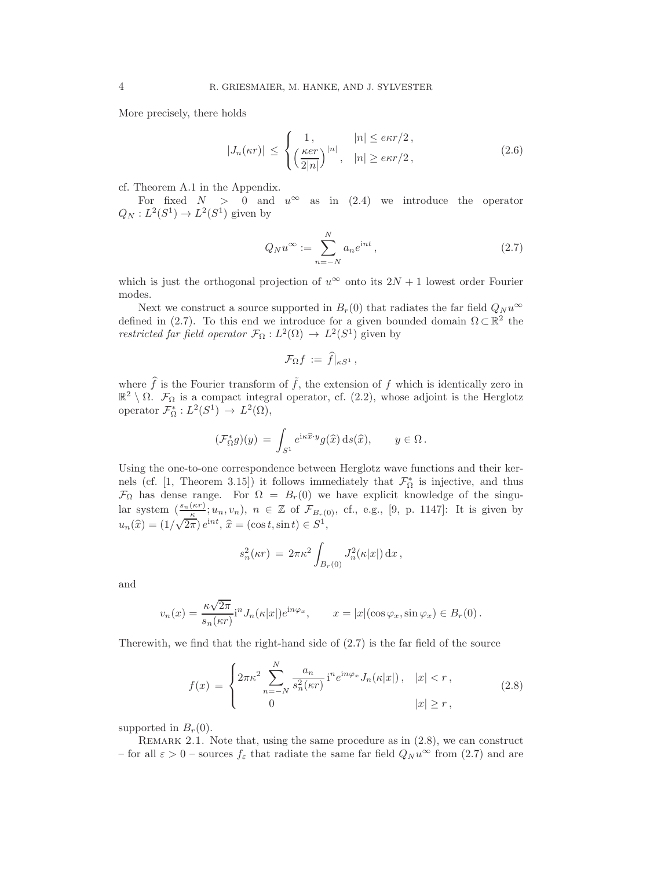More precisely, there holds

$$
|J_n(\kappa r)| \leq \begin{cases} 1, & |n| \leq e\kappa r/2, \\ \left(\frac{\kappa e r}{2|n|}\right)^{|n|}, & |n| \geq e\kappa r/2, \end{cases}
$$
 (2.6)

cf. Theorem A.1 in the Appendix.

For fixed  $N > 0$  and  $u^{\infty}$  as in (2.4) we introduce the operator  $Q_N: L^2(S^1) \to L^2(S^1)$  given by

$$
Q_N u^{\infty} := \sum_{n=-N}^{N} a_n e^{\mathrm{i} nt}, \qquad (2.7)
$$

which is just the orthogonal projection of  $u^{\infty}$  onto its  $2N + 1$  lowest order Fourier modes.

Next we construct a source supported in  $B_r(0)$  that radiates the far field  $Q_N u^{\infty}$ defined in (2.7). To this end we introduce for a given bounded domain  $\Omega \subset \mathbb{R}^2$  the restricted far field operator  $\mathcal{F}_{\Omega}: L^2(\Omega) \to L^2(S^1)$  given by

$$
\mathcal{F}_{\Omega}f\,:=\,f|_{\kappa S^1}\,,
$$

where  $\hat{f}$  is the Fourier transform of  $\tilde{f}$ , the extension of f which is identically zero in  $\mathbb{R}^2 \setminus \Omega$ .  $\mathcal{F}_{\Omega}$  is a compact integral operator, cf. (2.2), whose adjoint is the Herglotz operator  $\mathcal{F}_{\Omega}^* : L^2(S^1) \to L^2(\Omega)$ ,

$$
(\mathcal{F}_{\Omega}^*g)(y) = \int_{S^1} e^{i\kappa \widehat{x} \cdot y} g(\widehat{x}) ds(\widehat{x}), \qquad y \in \Omega.
$$

Using the one-to-one correspondence between Herglotz wave functions and their kernels (cf. [1, Theorem 3.15]) it follows immediately that  $\mathcal{F}_{\Omega}^*$  is injective, and thus  $\mathcal{F}_{\Omega}$  has dense range. For  $\Omega = B_r(0)$  we have explicit knowledge of the singular system  $(\frac{s_n(\kappa r)}{\kappa}; u_n, v_n), n \in \mathbb{Z}$  of  $\mathcal{F}_{B_r(0)}$ , cf., e.g., [9, p. 1147]: It is given by  $u_n(\hat{x}) = (1/\sqrt{2\pi}) e^{\mathrm{i}nt}, \hat{x} = (\cos t, \sin t) \in S^1,$ 

$$
s_n^2(\kappa r)\,=\,2\pi\kappa^2\int_{B_r(0)}J_n^2(\kappa|x|)\,\mathrm{d}x\,,
$$

and

$$
v_n(x) = \frac{\kappa \sqrt{2\pi}}{s_n(\kappa r)} i^n J_n(\kappa |x|) e^{in\varphi_x}, \qquad x = |x|(\cos \varphi_x, \sin \varphi_x) \in B_r(0).
$$

Therewith, we find that the right-hand side of (2.7) is the far field of the source

$$
f(x) = \begin{cases} 2\pi\kappa^2 \sum_{n=-N}^{N} \frac{a_n}{s_n^2(\kappa r)} i^n e^{in\varphi_x} J_n(\kappa |x|), & |x| < r, \\ 0 & |x| \ge r, \end{cases}
$$
(2.8)

supported in  $B_r(0)$ .

REMARK 2.1. Note that, using the same procedure as in  $(2.8)$ , we can construct – for all  $\varepsilon > 0$  – sources  $f_{\varepsilon}$  that radiate the same far field  $Q_N u^{\infty}$  from (2.7) and are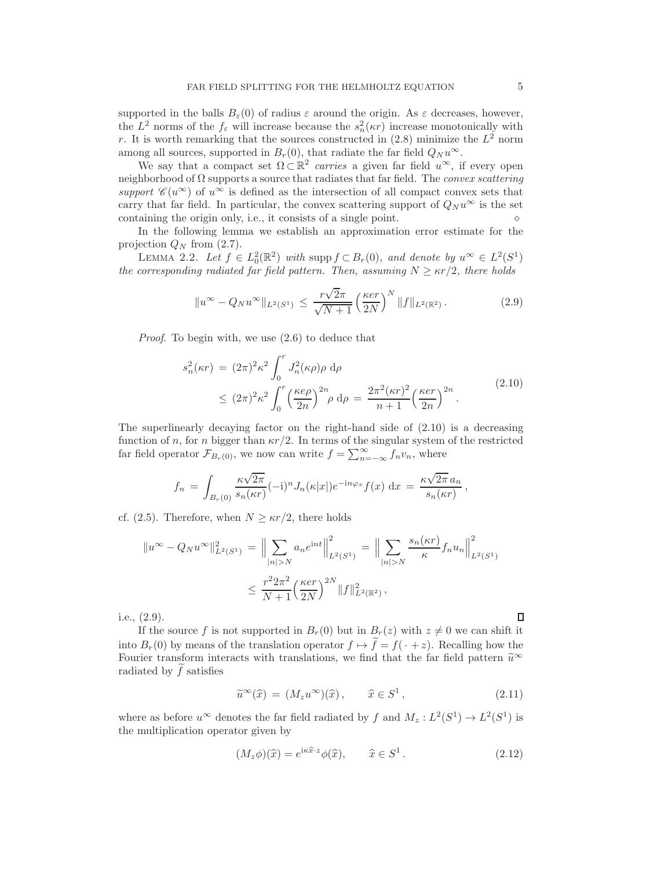supported in the balls  $B_{\varepsilon}(0)$  of radius  $\varepsilon$  around the origin. As  $\varepsilon$  decreases, however, the  $L^2$  norms of the  $f_\varepsilon$  will increase because the  $s_n^2(\kappa r)$  increase monotonically with r. It is worth remarking that the sources constructed in  $(2.8)$  minimize the  $L^2$  norm among all sources, supported in  $B_r(0)$ , that radiate the far field  $Q_N u^{\infty}$ .

We say that a compact set  $\Omega \subset \mathbb{R}^2$  carries a given far field  $u^{\infty}$ , if every open neighborhood of  $\Omega$  supports a source that radiates that far field. The *convex scattering* support  $\mathscr{C}(u^{\infty})$  of  $u^{\infty}$  is defined as the intersection of all compact convex sets that carry that far field. In particular, the convex scattering support of  $Q_N u^{\infty}$  is the set containing the origin only, i.e., it consists of a single point.

In the following lemma we establish an approximation error estimate for the projection  $Q_N$  from (2.7).

LEMMA 2.2. Let  $f \in L_0^2(\mathbb{R}^2)$  with supp  $f \subset B_r(0)$ , and denote by  $u^{\infty} \in L^2(S^1)$ the corresponding radiated far field pattern. Then, assuming  $N \geq \kappa r/2$ , there holds

$$
||u^{\infty} - Q_N u^{\infty}||_{L^2(S^1)} \le \frac{r\sqrt{2\pi}}{\sqrt{N+1}} \left(\frac{\kappa e r}{2N}\right)^N ||f||_{L^2(\mathbb{R}^2)}.
$$
 (2.9)

Proof. To begin with, we use (2.6) to deduce that

$$
s_n^2(\kappa r) = (2\pi)^2 \kappa^2 \int_0^r J_n^2(\kappa \rho) \rho \, d\rho
$$
  
 
$$
\leq (2\pi)^2 \kappa^2 \int_0^r \left(\frac{\kappa e\rho}{2n}\right)^{2n} \rho \, d\rho = \frac{2\pi^2 (\kappa r)^2}{n+1} \left(\frac{\kappa e r}{2n}\right)^{2n}.
$$
 (2.10)

The superlinearly decaying factor on the right-hand side of (2.10) is a decreasing function of n, for n bigger than  $\kappa r/2$ . In terms of the singular system of the restricted far field operator  $\mathcal{F}_{B_r(0)}$ , we now can write  $f = \sum_{n=-\infty}^{\infty} f_n v_n$ , where

$$
f_n = \int_{B_r(0)} \frac{\kappa \sqrt{2\pi}}{s_n(\kappa r)} (-i)^n J_n(\kappa |x|) e^{-in\varphi_x} f(x) dx = \frac{\kappa \sqrt{2\pi} a_n}{s_n(\kappa r)},
$$

cf. (2.5). Therefore, when  $N \geq \kappa r/2$ , there holds

$$
||u^{\infty} - Q_N u^{\infty}||_{L^2(S^1)}^2 = \left\| \sum_{|n|>N} a_n e^{int} \right\|_{L^2(S^1)}^2 = \left\| \sum_{|n|>N} \frac{s_n(\kappa r)}{\kappa} f_n u_n \right\|_{L^2(S^1)}^2
$$
  

$$
\leq \frac{r^2 2\pi^2}{N+1} \left(\frac{\kappa e r}{2N}\right)^{2N} ||f||_{L^2(\mathbb{R}^2)}^2,
$$

i.e., (2.9).

If the source f is not supported in  $B_r(0)$  but in  $B_r(z)$  with  $z \neq 0$  we can shift it into  $B_r(0)$  by means of the translation operator  $f \mapsto f = f(\cdot + z)$ . Recalling how the Fourier transform interacts with translations, we find that the far field pattern  $\tilde{u}^{\infty}$ radiated by  $\tilde{f}$  satisfies

$$
\widetilde{u}^{\infty}(\widehat{x}) = (M_z u^{\infty})(\widehat{x}), \qquad \widehat{x} \in S^1, \tag{2.11}
$$

where as before  $u^{\infty}$  denotes the far field radiated by f and  $M_z : L^2(S^1) \to L^2(S^1)$  is the multiplication operator given by

$$
(M_z \phi)(\widehat{x}) = e^{i\kappa \widehat{x} \cdot z} \phi(\widehat{x}), \qquad \widehat{x} \in S^1.
$$
\n(2.12)

 $\Box$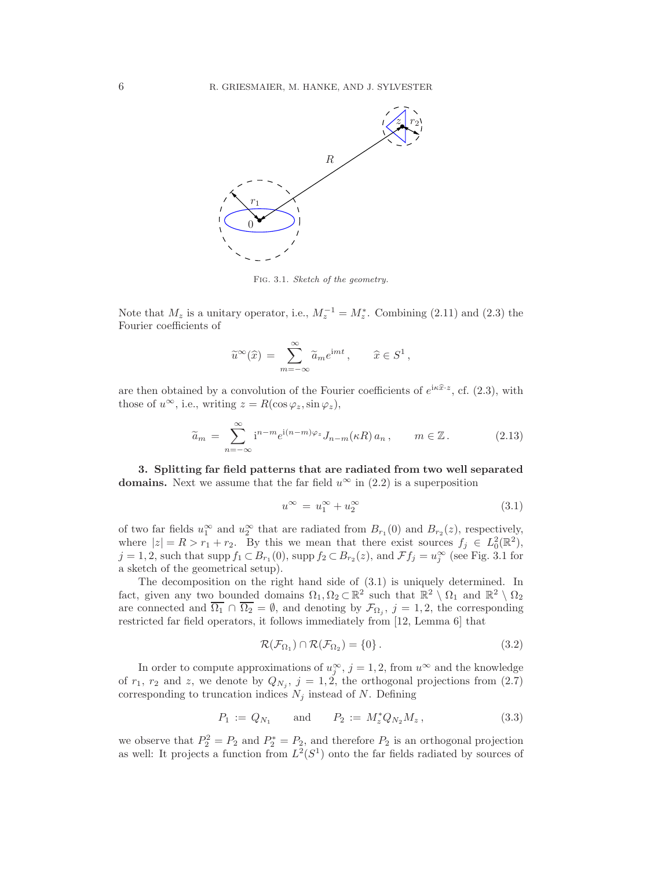

Fig. 3.1. Sketch of the geometry.

Note that  $M_z$  is a unitary operator, i.e.,  $M_z^{-1} = M_z^*$ . Combining (2.11) and (2.3) the Fourier coefficients of

$$
\widetilde{u}^{\infty}(\widehat{x}) = \sum_{m=-\infty}^{\infty} \widetilde{a}_m e^{imt}, \qquad \widehat{x} \in S^1,
$$

are then obtained by a convolution of the Fourier coefficients of  $e^{i\kappa\hat{x}\cdot z}$ , cf. (2.3), with those of  $u^{\infty}$ , i.e., writing  $z = R(\cos \varphi_z, \sin \varphi_z)$ ,

$$
\widetilde{a}_m = \sum_{n=-\infty}^{\infty} i^{n-m} e^{i(n-m)\varphi_z} J_{n-m}(\kappa R) a_n, \qquad m \in \mathbb{Z}.
$$
 (2.13)

3. Splitting far field patterns that are radiated from two well separated domains. Next we assume that the far field  $u^{\infty}$  in (2.2) is a superposition

$$
u^{\infty} = u_1^{\infty} + u_2^{\infty}
$$
\n<sup>(3.1)</sup>

of two far fields  $u_1^{\infty}$  and  $u_2^{\infty}$  that are radiated from  $B_{r_1}(0)$  and  $B_{r_2}(z)$ , respectively, where  $|z| = R > r_1 + r_2$ . By this we mean that there exist sources  $f_j \in L_0^2(\mathbb{R}^2)$ ,  $j = 1, 2$ , such that supp  $f_1 \subset B_{r_1}(0)$ , supp  $f_2 \subset B_{r_2}(z)$ , and  $\mathcal{F}f_j = u_j^{\infty}$  (see Fig. 3.1 for a sketch of the geometrical setup).

The decomposition on the right hand side of (3.1) is uniquely determined. In fact, given any two bounded domains  $\Omega_1, \Omega_2 \subset \mathbb{R}^2$  such that  $\mathbb{R}^2 \setminus \Omega_1$  and  $\mathbb{R}^2 \setminus \Omega_2$ are connected and  $\Omega_1 \cap \Omega_2 = \emptyset$ , and denoting by  $\mathcal{F}_{\Omega_j}$ ,  $j = 1, 2$ , the corresponding restricted far field operators, it follows immediately from [12, Lemma 6] that

$$
\mathcal{R}(\mathcal{F}_{\Omega_1}) \cap \mathcal{R}(\mathcal{F}_{\Omega_2}) = \{0\}.
$$
\n(3.2)

In order to compute approximations of  $u_j^{\infty}$ ,  $j = 1, 2$ , from  $u^{\infty}$  and the knowledge of  $r_1$ ,  $r_2$  and z, we denote by  $Q_{N_j}$ ,  $j = 1, 2$ , the orthogonal projections from  $(2.7)$ corresponding to truncation indices  $N_i$  instead of N. Defining

$$
P_1 := Q_{N_1} \quad \text{and} \quad P_2 := M_z^* Q_{N_2} M_z, \tag{3.3}
$$

we observe that  $P_2^2 = P_2$  and  $P_2^* = P_2$ , and therefore  $P_2$  is an orthogonal projection as well: It projects a function from  $L^2(S^1)$  onto the far fields radiated by sources of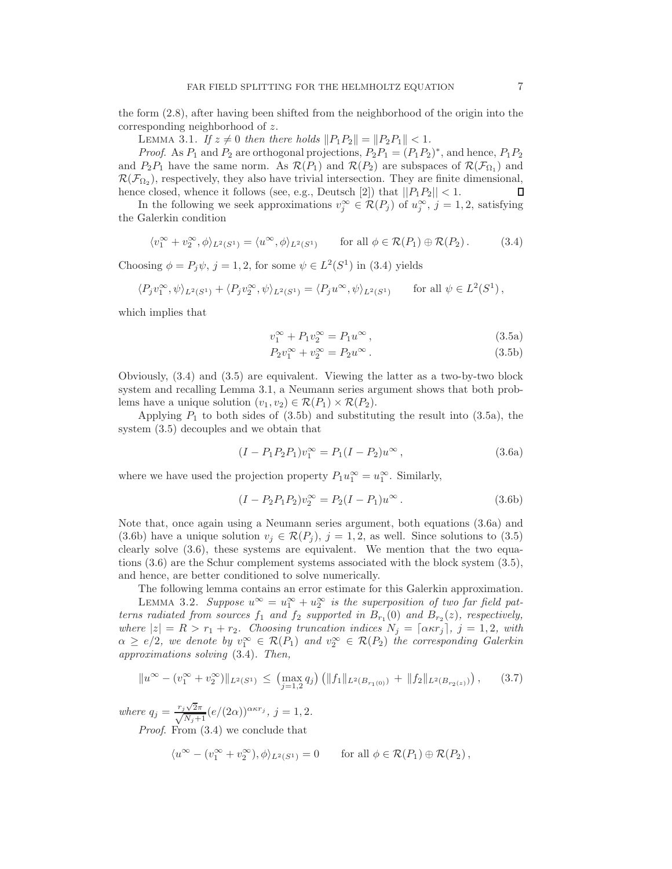the form (2.8), after having been shifted from the neighborhood of the origin into the corresponding neighborhood of z.

LEMMA 3.1. If  $z \neq 0$  then there holds  $||P_1P_2|| = ||P_2P_1|| < 1$ .

*Proof.* As  $P_1$  and  $P_2$  are orthogonal projections,  $P_2P_1 = (P_1P_2)^*$ , and hence,  $P_1P_2$ and  $P_2P_1$  have the same norm. As  $\mathcal{R}(P_1)$  and  $\mathcal{R}(P_2)$  are subspaces of  $\mathcal{R}(\mathcal{F}_{\Omega_1})$  and  $\mathcal{R}(\mathcal{F}_{\Omega_2})$ , respectively, they also have trivial intersection. They are finite dimensional, hence closed, whence it follows (see, e.g., Deutsch [2]) that  $||P_1P_2|| < 1$ .  $\Box$ 

In the following we seek approximations  $v_j^{\infty} \in \mathcal{R}(P_j)$  of  $u_j^{\infty}$ ,  $j = 1, 2$ , satisfying the Galerkin condition

$$
\langle v_1^{\infty} + v_2^{\infty}, \phi \rangle_{L^2(S^1)} = \langle u^{\infty}, \phi \rangle_{L^2(S^1)} \quad \text{for all } \phi \in \mathcal{R}(P_1) \oplus \mathcal{R}(P_2). \tag{3.4}
$$

Choosing  $\phi = P_j \psi$ ,  $j = 1, 2$ , for some  $\psi \in L^2(S^1)$  in (3.4) yields

$$
\langle P_j v_1^{\infty}, \psi \rangle_{L^2(S^1)} + \langle P_j v_2^{\infty}, \psi \rangle_{L^2(S^1)} = \langle P_j u^{\infty}, \psi \rangle_{L^2(S^1)} \quad \text{for all } \psi \in L^2(S^1),
$$

which implies that

$$
v_1^{\infty} + P_1 v_2^{\infty} = P_1 u^{\infty}, \qquad (3.5a)
$$

$$
P_2v_1^{\infty} + v_2^{\infty} = P_2u^{\infty}.
$$
\n
$$
(3.5b)
$$

Obviously, (3.4) and (3.5) are equivalent. Viewing the latter as a two-by-two block system and recalling Lemma 3.1, a Neumann series argument shows that both problems have a unique solution  $(v_1, v_2) \in \mathcal{R}(P_1) \times \mathcal{R}(P_2)$ .

Applying  $P_1$  to both sides of (3.5b) and substituting the result into (3.5a), the system (3.5) decouples and we obtain that

$$
(I - P_1 P_2 P_1) v_1^{\infty} = P_1 (I - P_2) u^{\infty} , \qquad (3.6a)
$$

where we have used the projection property  $P_1 u_1^{\infty} = u_1^{\infty}$ . Similarly,

$$
(I - P_2 P_1 P_2) v_2^{\infty} = P_2 (I - P_1) u^{\infty}.
$$
 (3.6b)

Note that, once again using a Neumann series argument, both equations (3.6a) and (3.6b) have a unique solution  $v_j \in \mathcal{R}(P_j)$ ,  $j = 1, 2$ , as well. Since solutions to (3.5) clearly solve (3.6), these systems are equivalent. We mention that the two equations (3.6) are the Schur complement systems associated with the block system (3.5), and hence, are better conditioned to solve numerically.

The following lemma contains an error estimate for this Galerkin approximation. LEMMA 3.2. Suppose  $u^{\infty} = u_1^{\infty} + u_2^{\infty}$  is the superposition of two far field patterns radiated from sources  $f_1$  and  $f_2$  supported in  $B_{r_1}(0)$  and  $B_{r_2}(z)$ , respectively, where  $|z| = R > r_1 + r_2$ . Choosing truncation indices  $N_j = [\alpha \kappa r_j], j = 1, 2, with$  $\alpha \geq e/2$ , we denote by  $v_1^{\infty} \in \mathcal{R}(P_1)$  and  $v_2^{\infty} \in \mathcal{R}(P_2)$  the corresponding Galerkin approximations solving (3.4). Then,

$$
||u^{\infty} - (v_1^{\infty} + v_2^{\infty})||_{L^2(S^1)} \le (\max_{j=1,2} q_j) (||f_1||_{L^2(B_{r_1(0)})} + ||f_2||_{L^2(B_{r_2(z)})}), \qquad (3.7)
$$

where  $q_j = \frac{r_j \sqrt{r_j}}{\sqrt{N}}$  $\frac{r_j\sqrt{2\pi}}{\sqrt{N_i+1}}$  $\frac{i\sqrt{2\pi}}{N_j+1}(e/(2\alpha))^{\alpha\kappa r_j}, j=1,2.$ Proof. From  $(3.4)$  we conclude that

$$
\langle u^{\infty} - (v_1^{\infty} + v_2^{\infty}), \phi \rangle_{L^2(S^1)} = 0 \quad \text{for all } \phi \in \mathcal{R}(P_1) \oplus \mathcal{R}(P_2),
$$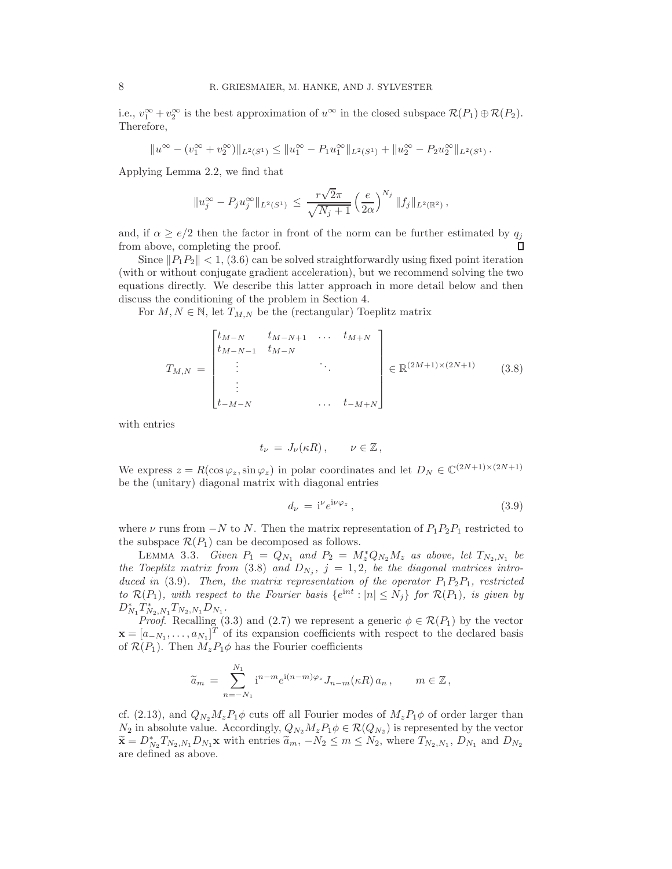i.e.,  $v_1^{\infty} + v_2^{\infty}$  is the best approximation of  $u^{\infty}$  in the closed subspace  $\mathcal{R}(P_1) \oplus \mathcal{R}(P_2)$ . Therefore,

$$
||u^{\infty} - (v_1^{\infty} + v_2^{\infty})||_{L^2(S^1)} \le ||u_1^{\infty} - P_1 u_1^{\infty}||_{L^2(S^1)} + ||u_2^{\infty} - P_2 u_2^{\infty}||_{L^2(S^1)}.
$$

Applying Lemma 2.2, we find that

$$
||u_j^{\infty} - P_j u_j^{\infty}||_{L^2(S^1)} \le \frac{r\sqrt{2\pi}}{\sqrt{N_j+1}} \left(\frac{e}{2\alpha}\right)^{N_j} ||f_j||_{L^2(\mathbb{R}^2)},
$$

and, if  $\alpha \ge e/2$  then the factor in front of the norm can be further estimated by  $q_j$  from above completing the proof from above, completing the proof.

Since  $||P_1P_2|| < 1$ , (3.6) can be solved straightforwardly using fixed point iteration (with or without conjugate gradient acceleration), but we recommend solving the two equations directly. We describe this latter approach in more detail below and then discuss the conditioning of the problem in Section 4.

For  $M, N \in \mathbb{N}$ , let  $T_{M,N}$  be the (rectangular) Toeplitz matrix

$$
T_{M,N} = \begin{bmatrix} t_{M-N} & t_{M-N+1} & \dots & t_{M+N} \\ t_{M-N-1} & t_{M-N} & & \\ \vdots & & \ddots & \\ t_{-M-N} & & \dots & t_{-M+N} \end{bmatrix} \in \mathbb{R}^{(2M+1)\times(2N+1)} \qquad (3.8)
$$

with entries

$$
t_{\nu} = J_{\nu}(\kappa R) , \qquad \nu \in \mathbb{Z} ,
$$

We express  $z = R(\cos\varphi_z, \sin\varphi_z)$  in polar coordinates and let  $D_N \in \mathbb{C}^{(2N+1)\times(2N+1)}$ be the (unitary) diagonal matrix with diagonal entries

$$
d_{\nu} = \mathbf{i}^{\nu} e^{\mathbf{i}\nu\varphi_{z}},\tag{3.9}
$$

where  $\nu$  runs from  $-N$  to N. Then the matrix representation of  $P_1P_2P_1$  restricted to the subspace  $\mathcal{R}(P_1)$  can be decomposed as follows.

LEMMA 3.3. Given  $P_1 = Q_{N_1}$  and  $P_2 = M_z^* Q_{N_2} M_z$  as above, let  $T_{N_2,N_1}$  be the Toeplitz matrix from (3.8) and  $D_{N_j}$ ,  $j = 1, 2$ , be the diagonal matrices introduced in (3.9). Then, the matrix representation of the operator  $P_1P_2P_1$ , restricted to  $\mathcal{R}(P_1)$ , with respect to the Fourier basis  $\{e^{\text{int}} : |n| \leq N_j\}$  for  $\mathcal{R}(P_1)$ , is given by  $D_{N_1}^* T_{N_2,N_1}^* T_{N_2,N_1} D_{N_1}.$ 

*Proof.* Recalling (3.3) and (2.7) we represent a generic  $\phi \in \mathcal{R}(P_1)$  by the vector  $\mathbf{x} = [a_{-N_1}, \dots, a_{N_1}]^T$  of its expansion coefficients with respect to the declared basis of  $\mathcal{R}(P_1)$ . Then  $M_z P_1 \phi$  has the Fourier coefficients

$$
\widetilde{a}_m = \sum_{n=-N_1}^{N_1} i^{n-m} e^{i(n-m)\varphi_z} J_{n-m}(\kappa R) a_n, \qquad m \in \mathbb{Z},
$$

cf. (2.13), and  $Q_{N_2}M_zP_1\phi$  cuts off all Fourier modes of  $M_zP_1\phi$  of order larger than  $N_2$  in absolute value. Accordingly,  $Q_{N_2} M_z P_1 \phi \in \mathcal{R}(Q_{N_2})$  is represented by the vector  $\widetilde{\mathbf{x}} = D_{N_2}^* T_{N_2,N_1} D_{N_1} \mathbf{x}$  with entries  $\widetilde{a}_m, -N_2 \le m \le N_2$ , where  $T_{N_2,N_1}$ ,  $D_{N_1}$  and  $D_{N_2}$ are defined as above.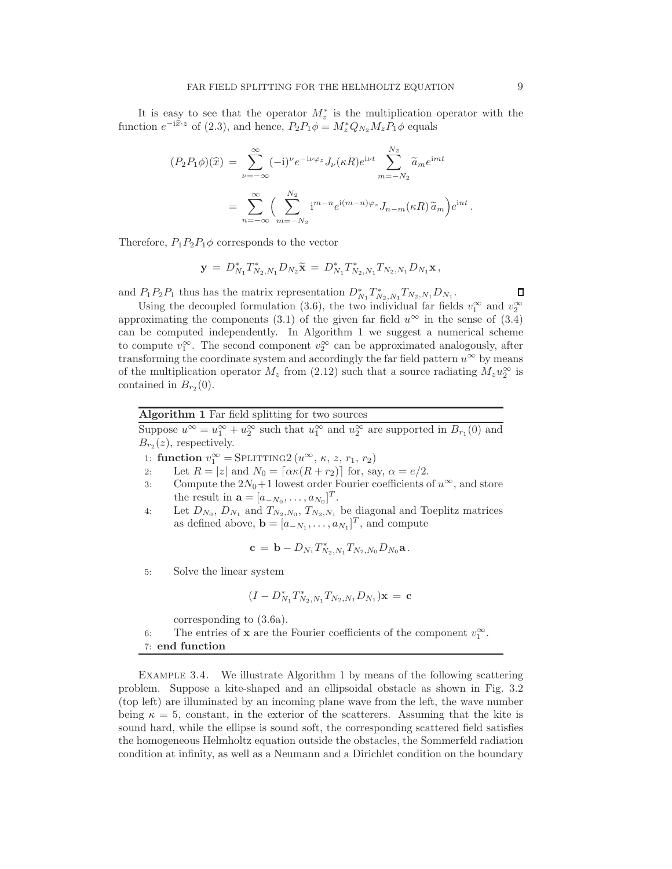It is easy to see that the operator  $M_z^*$  is the multiplication operator with the function  $e^{-i\hat{x}\cdot z}$  of (2.3), and hence,  $P_2P_1\phi = M_z^*Q_{N_2}M_zP_1\phi$  equals

$$
(P_2 P_1 \phi)(\hat{x}) = \sum_{\nu=-\infty}^{\infty} (-i)^{\nu} e^{-i\nu\varphi_z} J_{\nu}(\kappa R) e^{i\nu t} \sum_{m=-N_2}^{N_2} \tilde{a}_m e^{imt}
$$
  
= 
$$
\sum_{n=-\infty}^{\infty} \left( \sum_{m=-N_2}^{N_2} i^{m-n} e^{i(m-n)\varphi_z} J_{n-m}(\kappa R) \tilde{a}_m \right) e^{int}.
$$

Therefore,  $P_1P_2P_1\phi$  corresponds to the vector

$$
\mathbf{y} = D_{N_1}^* T_{N_2,N_1}^* D_{N_2} \widetilde{\mathbf{x}} = D_{N_1}^* T_{N_2,N_1}^* T_{N_2,N_1} D_{N_1} \mathbf{x},
$$

and  $P_1P_2P_1$  thus has the matrix representation  $D_{N_1}^*T_{N_2,N_1}^*T_{N_2,N_1}D_{N_1}$ .

Using the decoupled formulation (3.6), the two individual far fields  $v_1^{\infty}$  and  $v_2^{\infty}$ approximating the components (3.1) of the given far field  $u^{\infty}$  in the sense of (3.4) can be computed independently. In Algorithm 1 we suggest a numerical scheme to compute  $v_1^{\infty}$ . The second component  $v_2^{\infty}$  can be approximated analogously, after transforming the coordinate system and accordingly the far field pattern  $u^{\infty}$  by means of the multiplication operator  $M_z$  from (2.12) such that a source radiating  $M_z u_2^{\infty}$  is

| <b>Algorithm 1</b> Far field splitting for two sources |  |  |  |  |  |  |  |  |
|--------------------------------------------------------|--|--|--|--|--|--|--|--|
|--------------------------------------------------------|--|--|--|--|--|--|--|--|

Suppose  $u^{\infty} = u_1^{\infty} + u_2^{\infty}$  such that  $u_1^{\infty}$  and  $u_2^{\infty}$  are supported in  $B_{r_1}(0)$  and  $B_{r_2}(z)$ , respectively.

1: function  $v_1^{\infty} = \text{SPLITTING2}(u^{\infty}, \kappa, z, r_1, r_2)$ 

- 2: Let  $R = |z|$  and  $N_0 = [\alpha \kappa (R + r_2)]$  for, say,  $\alpha = e/2$ .<br>3: Compute the  $2N_0+1$  lowest order Fourier coefficients of
- Compute the  $2N_0+1$  lowest order Fourier coefficients of  $u^{\infty}$ , and store the result in  $\mathbf{a} = [a_{-N_0}, \dots, a_{N_0}]^T$ .
- 4: Let  $D_{N_0}, D_{N_1}$  and  $T_{N_2,N_0}, T_{N_2,N_1}$  be diagonal and Toeplitz matrices as defined above,  $\mathbf{b} = [a_{-N_1}, \dots, a_{N_1}]^T$ , and compute

$$
\mathbf{c} = \mathbf{b} - D_{N_1} T^*_{N_2,N_1} T_{N_2,N_0} D_{N_0} \mathbf{a}.
$$

5: Solve the linear system

$$
(I - D_{N_1}^* T_{N_2, N_1}^* T_{N_2, N_1} D_{N_1}) \mathbf{x} = \mathbf{c}
$$

corresponding to (3.6a).

6: The entries of **x** are the Fourier coefficients of the component  $v_1^{\infty}$ .

## 7: end function

contained in  $B_{r_2}(0)$ .

Example 3.4. We illustrate Algorithm 1 by means of the following scattering problem. Suppose a kite-shaped and an ellipsoidal obstacle as shown in Fig. 3.2 (top left) are illuminated by an incoming plane wave from the left, the wave number being  $\kappa = 5$ , constant, in the exterior of the scatterers. Assuming that the kite is sound hard, while the ellipse is sound soft, the corresponding scattered field satisfies the homogeneous Helmholtz equation outside the obstacles, the Sommerfeld radiation condition at infinity, as well as a Neumann and a Dirichlet condition on the boundary

 $\Box$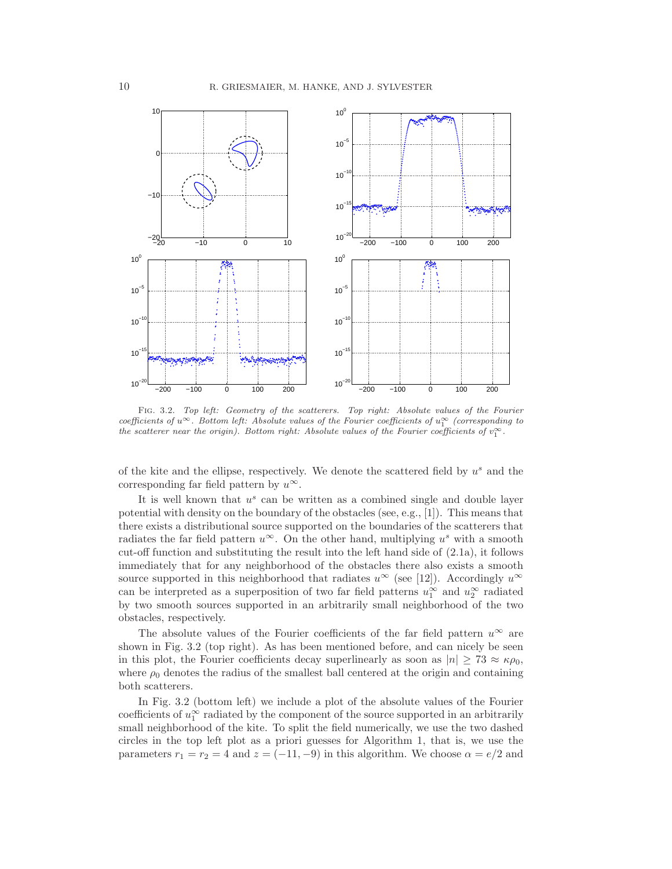

Fig. 3.2. Top left: Geometry of the scatterers. Top right: Absolute values of the Fourier coefficients of  $u^{\infty}$ . Bottom left: Absolute values of the Fourier coefficients of  $u^{\infty}$  (corresponding to the scatterer near the origin). Bottom right: Absolute values of the Fourier coefficients of  $v_1^{\infty}$ .

of the kite and the ellipse, respectively. We denote the scattered field by  $u^s$  and the corresponding far field pattern by  $u^{\infty}$ .

It is well known that  $u^s$  can be written as a combined single and double layer potential with density on the boundary of the obstacles (see, e.g., [1]). This means that there exists a distributional source supported on the boundaries of the scatterers that radiates the far field pattern  $u^{\infty}$ . On the other hand, multiplying  $u^{s}$  with a smooth cut-off function and substituting the result into the left hand side of  $(2.1a)$ , it follows immediately that for any neighborhood of the obstacles there also exists a smooth source supported in this neighborhood that radiates  $u^{\infty}$  (see [12]). Accordingly  $u^{\infty}$ can be interpreted as a superposition of two far field patterns  $u_1^{\infty}$  and  $u_2^{\infty}$  radiated by two smooth sources supported in an arbitrarily small neighborhood of the two obstacles, respectively.

The absolute values of the Fourier coefficients of the far field pattern  $u^{\infty}$  are shown in Fig. 3.2 (top right). As has been mentioned before, and can nicely be seen in this plot, the Fourier coefficients decay superlinearly as soon as  $|n| \ge 73 \approx \kappa \rho_0$ , where  $\rho_0$  denotes the radius of the smallest ball centered at the origin and containing both scatterers.

In Fig. 3.2 (bottom left) we include a plot of the absolute values of the Fourier coefficients of  $u_1^{\infty}$  radiated by the component of the source supported in an arbitrarily small neighborhood of the kite. To split the field numerically, we use the two dashed circles in the top left plot as a priori guesses for Algorithm 1, that is, we use the parameters  $r_1 = r_2 = 4$  and  $z = (-11, -9)$  in this algorithm. We choose  $\alpha = e/2$  and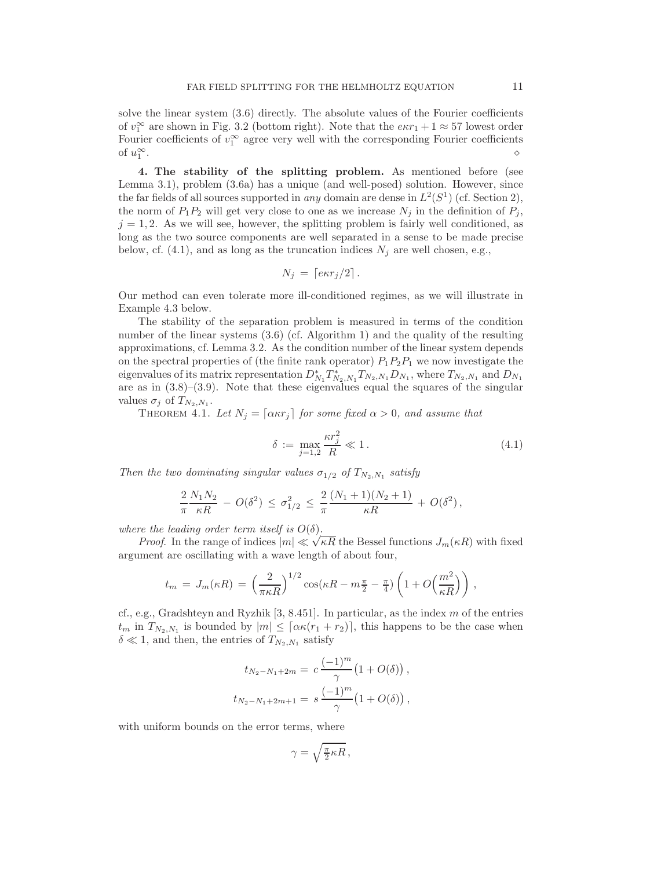solve the linear system (3.6) directly. The absolute values of the Fourier coefficients of  $v_1^{\infty}$  are shown in Fig. 3.2 (bottom right). Note that the  $e\kappa r_1 + 1 \approx 57$  lowest order Fourier coefficients of  $v_1^{\infty}$  agree very well with the corresponding Fourier coefficients of  $u_1^{\infty}$  $\bullet$   $\circ$ 

4. The stability of the splitting problem. As mentioned before (see Lemma 3.1), problem (3.6a) has a unique (and well-posed) solution. However, since the far fields of all sources supported in *any* domain are dense in  $L^2(S^1)$  (cf. Section 2), the norm of  $P_1P_2$  will get very close to one as we increase  $N_j$  in the definition of  $P_j$ ,  $j = 1, 2$ . As we will see, however, the splitting problem is fairly well conditioned, as long as the two source components are well separated in a sense to be made precise below, cf.  $(4.1)$ , and as long as the truncation indices  $N_j$  are well chosen, e.g.,

$$
N_j = \lceil e \kappa r_j/2 \rceil.
$$

Our method can even tolerate more ill-conditioned regimes, as we will illustrate in Example 4.3 below.

The stability of the separation problem is measured in terms of the condition number of the linear systems  $(3.6)$  (cf. Algorithm 1) and the quality of the resulting approximations, cf. Lemma 3.2. As the condition number of the linear system depends on the spectral properties of (the finite rank operator)  $P_1P_2P_1$  we now investigate the eigenvalues of its matrix representation  $D_{N_1}^* T_{N_2,N_1}^* T_{N_2,N_1} D_{N_1}$ , where  $T_{N_2,N_1}$  and  $D_{N_1}$ are as in (3.8)–(3.9). Note that these eigenvalues equal the squares of the singular values  $\sigma_j$  of  $T_{N_2,N_1}$ .

THEOREM 4.1. Let  $N_j = \lceil \alpha \kappa r_j \rceil$  for some fixed  $\alpha > 0$ , and assume that

$$
\delta := \max_{j=1,2} \frac{\kappa r_j^2}{R} \ll 1. \tag{4.1}
$$

Then the two dominating singular values  $\sigma_{1/2}$  of  $T_{N_2,N_1}$  satisfy

$$
\frac{2}{\pi} \frac{N_1 N_2}{\kappa R} - O(\delta^2) \leq \sigma_{1/2}^2 \leq \frac{2}{\pi} \frac{(N_1 + 1)(N_2 + 1)}{\kappa R} + O(\delta^2),
$$

where the leading order term itself is  $O(\delta)$ .

*Proof.* In the range of indices  $|m| \ll \sqrt{\kappa R}$  the Bessel functions  $J_m(\kappa R)$  with fixed argument are oscillating with a wave length of about four,

$$
t_m = J_m(\kappa R) = \left(\frac{2}{\pi \kappa R}\right)^{1/2} \cos(\kappa R - m\frac{\pi}{2} - \frac{\pi}{4}) \left(1 + O\left(\frac{m^2}{\kappa R}\right)\right),
$$

cf., e.g., Gradshteyn and Ryzhik  $[3, 8.451]$ . In particular, as the index m of the entries  $t_m$  in  $T_{N_2,N_1}$  is bounded by  $|m| \leq \lceil \alpha \kappa (r_1 + r_2) \rceil$ , this happens to be the case when  $\delta \ll 1$ , and then, the entries of  $T_{N_2,N_1}$  satisfy

$$
t_{N_2 - N_1 + 2m} = c \frac{(-1)^m}{\gamma} (1 + O(\delta)),
$$
  

$$
t_{N_2 - N_1 + 2m + 1} = s \frac{(-1)^m}{\gamma} (1 + O(\delta)),
$$

with uniform bounds on the error terms, where

$$
\gamma = \sqrt{\frac{\pi}{2} \kappa R} \,,
$$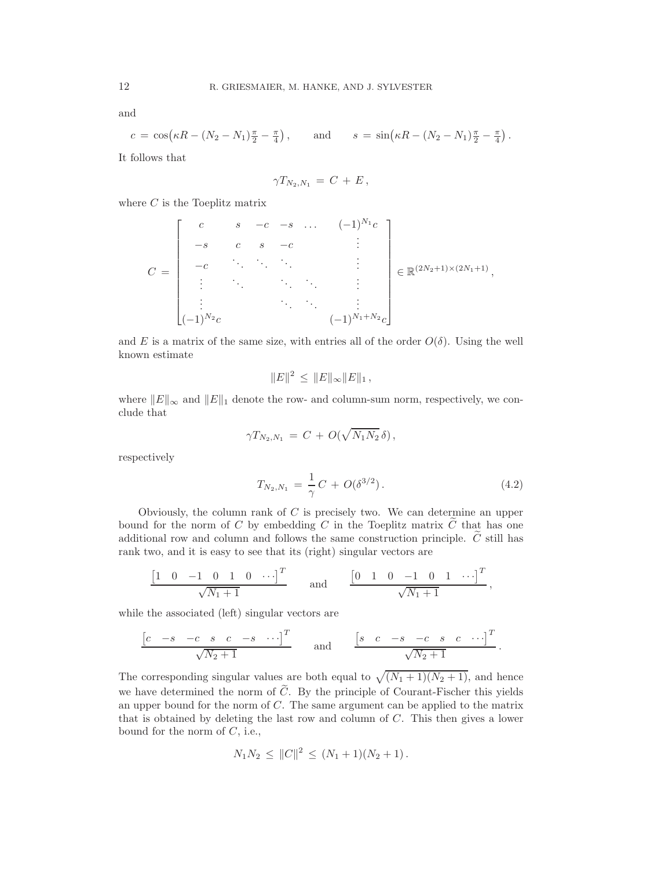and

$$
c = \cos(\kappa R - (N_2 - N_1)\frac{\pi}{2} - \frac{\pi}{4}),
$$
 and  $s = \sin(\kappa R - (N_2 - N_1)\frac{\pi}{2} - \frac{\pi}{4}).$ 

It follows that

$$
\gamma T_{N_2,N_1} = C + E,
$$

where  $C$  is the Toeplitz matrix

$$
C = \begin{bmatrix} c & s & -c & -s & \dots & (-1)^{N_1}c \\ -s & c & s & -c & \vdots \\ -c & \ddots & \ddots & \ddots & \vdots \\ \vdots & \ddots & \ddots & \ddots & \vdots \\ \vdots & \ddots & \ddots & \ddots & \vdots \\ (-1)^{N_2}c & & & (-1)^{N_1+N_2}c \end{bmatrix} \in \mathbb{R}^{(2N_2+1)\times(2N_1+1)},
$$

and E is a matrix of the same size, with entries all of the order  $O(\delta)$ . Using the well known estimate

$$
||E||^2 \leq ||E||_{\infty} ||E||_1,
$$

where  $||E||_{\infty}$  and  $||E||_1$  denote the row- and column-sum norm, respectively, we conclude that

$$
\gamma T_{N_2,N_1} \,=\, C \,+\, O(\sqrt{N_1N_2}\,\delta)\,,
$$

respectively

$$
T_{N_2,N_1} = \frac{1}{\gamma} C + O(\delta^{3/2}). \tag{4.2}
$$

Obviously, the column rank of  $C$  is precisely two. We can determine an upper bound for the norm of  $C$  by embedding  $C$  in the Toeplitz matrix  $C$  that has one additional row and column and follows the same construction principle.  $C$  still has rank two, and it is easy to see that its (right) singular vectors are

$$
\frac{\begin{bmatrix} 1 & 0 & -1 & 0 & 1 & 0 & \cdots \end{bmatrix}^T}{\sqrt{N_1+1}} \quad \text{and} \quad \frac{\begin{bmatrix} 0 & 1 & 0 & -1 & 0 & 1 & \cdots \end{bmatrix}^T}{\sqrt{N_1+1}},
$$

while the associated (left) singular vectors are

$$
\frac{\begin{bmatrix}c & -s & -c & s & c & -s & \cdots\end{bmatrix}^T}{\sqrt{N_2+1}} \quad \text{and} \quad \frac{\begin{bmatrix}s & c & -s & -c & s & c & \cdots\end{bmatrix}^T}{\sqrt{N_2+1}}.
$$

The corresponding singular values are both equal to  $\sqrt{(N_1 + 1)(N_2 + 1)}$ , and hence we have determined the norm of  $\tilde{C}$ . By the principle of Courant-Fischer this yields an upper bound for the norm of C. The same argument can be applied to the matrix that is obtained by deleting the last row and column of  $C$ . This then gives a lower bound for the norm of  $C$ , i.e.,

$$
N_1 N_2 \leq ||C||^2 \leq (N_1 + 1)(N_2 + 1).
$$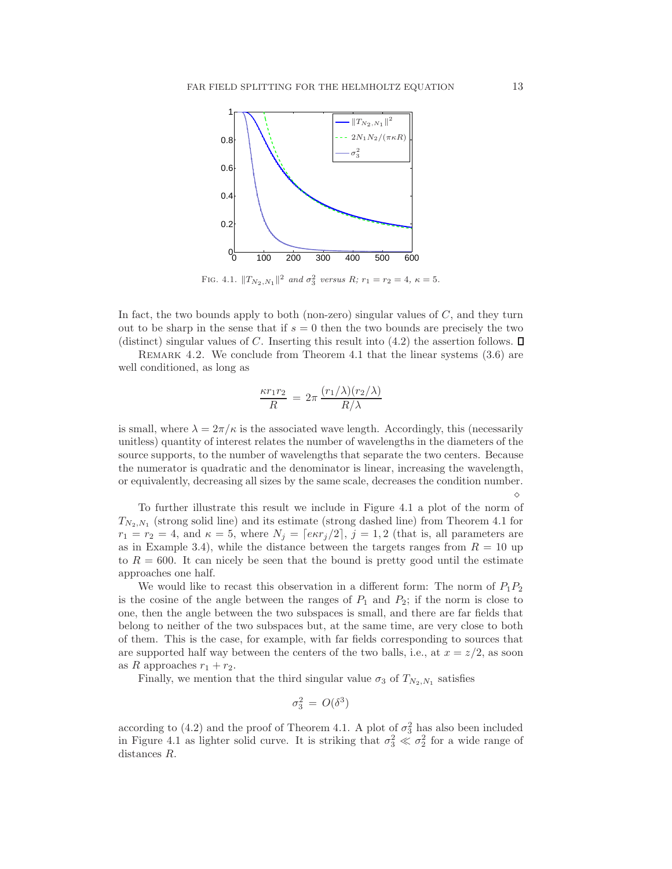

FIG. 4.1.  $||T_{N_2,N_1}||^2$  and  $\sigma_3^2$  versus R;  $r_1 = r_2 = 4$ ,  $\kappa = 5$ .

In fact, the two bounds apply to both (non-zero) singular values of  $C$ , and they turn out to be sharp in the sense that if  $s = 0$  then the two bounds are precisely the two (distinct) singular values of C. Inserting this result into  $(4.2)$  the assertion follows.  $\Box$ 

REMARK 4.2. We conclude from Theorem 4.1 that the linear systems  $(3.6)$  are well conditioned, as long as

$$
\frac{\kappa r_1 r_2}{R} = 2\pi \frac{(r_1/\lambda)(r_2/\lambda)}{R/\lambda}
$$

is small, where  $\lambda = 2\pi/\kappa$  is the associated wave length. Accordingly, this (necessarily unitless) quantity of interest relates the number of wavelengths in the diameters of the source supports, to the number of wavelengths that separate the two centers. Because the numerator is quadratic and the denominator is linear, increasing the wavelength, or equivalently, decreasing all sizes by the same scale, decreases the condition number.

To further illustrate this result we include in Figure 4.1 a plot of the norm of  $T_{N_2,N_1}$  (strong solid line) and its estimate (strong dashed line) from Theorem 4.1 for  $r_1 = r_2 = 4$ , and  $\kappa = 5$ , where  $N_j = \lceil \epsilon \kappa r_j/2 \rceil$ ,  $j = 1, 2$  (that is, all parameters are as in Example 3.4), while the distance between the targets ranges from  $R = 10$  up to  $R = 600$ . It can nicely be seen that the bound is pretty good until the estimate approaches one half.

We would like to recast this observation in a different form: The norm of  $P_1P_2$ is the cosine of the angle between the ranges of  $P_1$  and  $P_2$ ; if the norm is close to one, then the angle between the two subspaces is small, and there are far fields that belong to neither of the two subspaces but, at the same time, are very close to both of them. This is the case, for example, with far fields corresponding to sources that are supported half way between the centers of the two balls, i.e., at  $x = z/2$ , as soon as R approaches  $r_1 + r_2$ .

Finally, we mention that the third singular value  $\sigma_3$  of  $T_{N_2,N_1}$  satisfies

$$
\sigma_3^2 = O(\delta^3)
$$

according to (4.2) and the proof of Theorem 4.1. A plot of  $\sigma_3^2$  has also been included in Figure 4.1 as lighter solid curve. It is striking that  $\sigma_3^2 \ll \sigma_2^2$  for a wide range of distances R.

⋄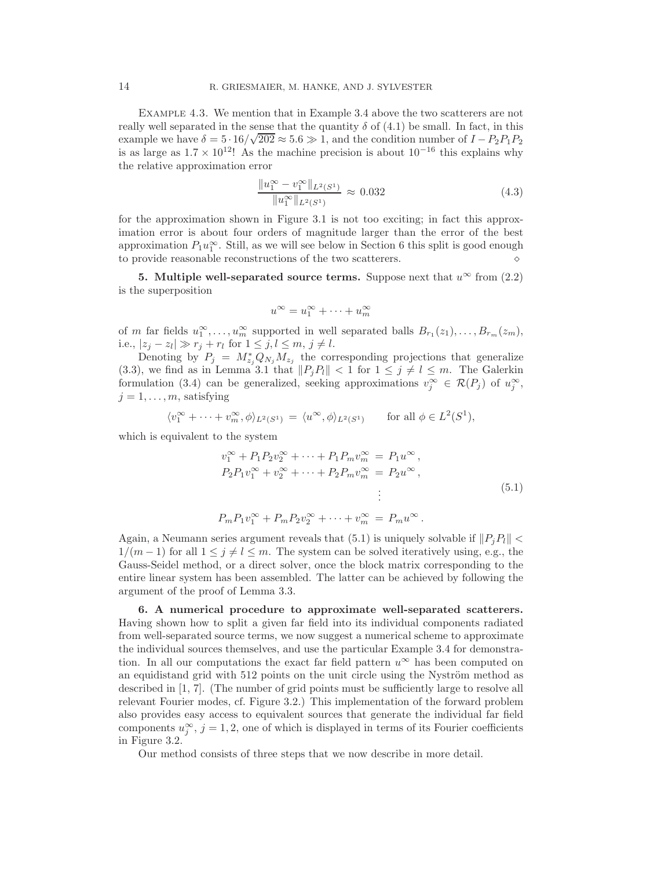Example 4.3. We mention that in Example 3.4 above the two scatterers are not really well separated in the sense that the quantity  $\delta$  of (4.1) be small. In fact, in this example we have  $\delta = 5.16/\sqrt{202} \approx 5.6 \gg 1$ , and the condition number of  $I - P_2P_1P_2$ is as large as  $1.7 \times 10^{12}$ ! As the machine precision is about  $10^{-16}$  this explains why the relative approximation error

$$
\frac{\|u_1^{\infty} - v_1^{\infty}\|_{L^2(S^1)}}{\|u_1^{\infty}\|_{L^2(S^1)}} \approx 0.032
$$
\n(4.3)

for the approximation shown in Figure 3.1 is not too exciting; in fact this approximation error is about four orders of magnitude larger than the error of the best approximation  $P_1u_1^{\infty}$ . Still, as we will see below in Section 6 this split is good enough to provide reasonable reconstructions of the two scatterers.  $\Diamond$ 

5. Multiple well-separated source terms. Suppose next that  $u^{\infty}$  from (2.2) is the superposition

$$
u^{\infty} = u_1^{\infty} + \dots + u_m^{\infty}
$$

of m far fields  $u_1^{\infty}, \ldots, u_m^{\infty}$  supported in well separated balls  $B_{r_1}(z_1), \ldots, B_{r_m}(z_m)$ , i.e.,  $|z_j - z_l| \gg r_j + r_l$  for  $1 \leq j, l \leq m, j \neq l$ .

Denoting by  $P_j = M_{z_j}^* Q_{N_j} M_{z_j}$  the corresponding projections that generalize (3.3), we find as in Lemma 3.1 that  $||P_jP_l|| < 1$  for  $1 \le j \ne l \le m$ . The Galerkin formulation (3.4) can be generalized, seeking approximations  $v_j^{\infty} \in \mathcal{R}(P_j)$  of  $u_j^{\infty}$ ,  $j = 1, \ldots, m$ , satisfying

$$
\langle v_1^{\infty} + \dots + v_m^{\infty}, \phi \rangle_{L^2(S^1)} = \langle u^{\infty}, \phi \rangle_{L^2(S^1)} \quad \text{for all } \phi \in L^2(S^1),
$$

which is equivalent to the system

$$
v_1^{\infty} + P_1 P_2 v_2^{\infty} + \dots + P_1 P_m v_m^{\infty} = P_1 u^{\infty},
$$
  
\n
$$
P_2 P_1 v_1^{\infty} + v_2^{\infty} + \dots + P_2 P_m v_m^{\infty} = P_2 u^{\infty},
$$
  
\n
$$
\vdots
$$
\n(5.1)

$$
P_m P_1 v_1^{\infty} + P_m P_2 v_2^{\infty} + \cdots + v_m^{\infty} = P_m u^{\infty}.
$$

Again, a Neumann series argument reveals that (5.1) is uniquely solvable if  $||P_iP_l|| <$  $1/(m-1)$  for all  $1 \leq j \neq l \leq m$ . The system can be solved iteratively using, e.g., the Gauss-Seidel method, or a direct solver, once the block matrix corresponding to the entire linear system has been assembled. The latter can be achieved by following the argument of the proof of Lemma 3.3.

6. A numerical procedure to approximate well-separated scatterers. Having shown how to split a given far field into its individual components radiated from well-separated source terms, we now suggest a numerical scheme to approximate the individual sources themselves, and use the particular Example 3.4 for demonstration. In all our computations the exact far field pattern  $u^{\infty}$  has been computed on an equidistand grid with 512 points on the unit circle using the Nyström method as described in [1, 7]. (The number of grid points must be sufficiently large to resolve all relevant Fourier modes, cf. Figure 3.2.) This implementation of the forward problem also provides easy access to equivalent sources that generate the individual far field components  $u_j^{\infty}$ ,  $j = 1, 2$ , one of which is displayed in terms of its Fourier coefficients in Figure 3.2.

Our method consists of three steps that we now describe in more detail.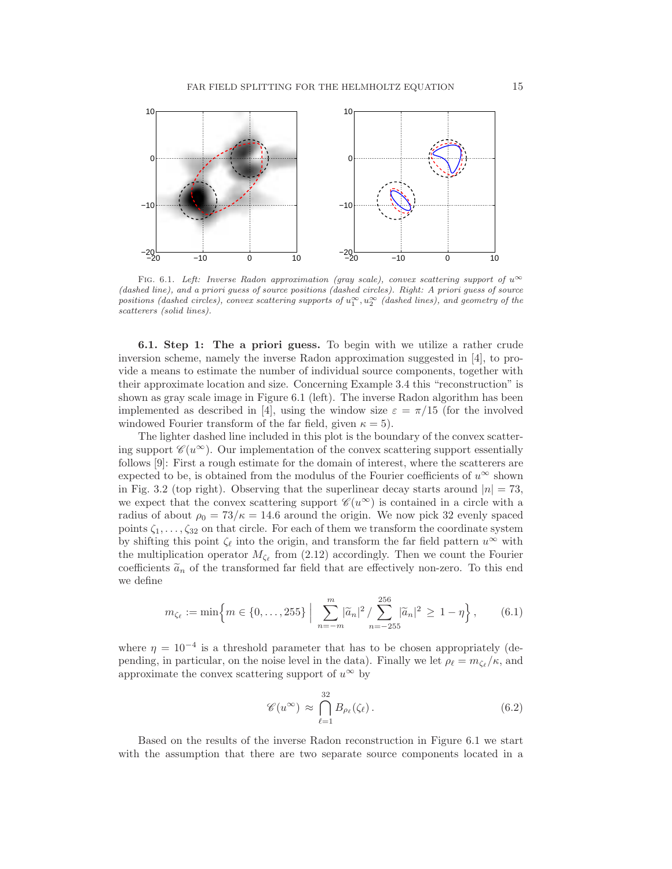

FIG. 6.1. Left: Inverse Radon approximation (gray scale), convex scattering support of  $u^{\infty}$ (dashed line), and a priori guess of source positions (dashed circles). Right: A priori guess of source positions (dashed circles), convex scattering supports of  $u_1^{\infty}, u_2^{\infty}$  (dashed lines), and geometry of the scatterers (solid lines).

6.1. Step 1: The a priori guess. To begin with we utilize a rather crude inversion scheme, namely the inverse Radon approximation suggested in [4], to provide a means to estimate the number of individual source components, together with their approximate location and size. Concerning Example 3.4 this "reconstruction" is shown as gray scale image in Figure 6.1 (left). The inverse Radon algorithm has been implemented as described in [4], using the window size  $\varepsilon = \pi/15$  (for the involved windowed Fourier transform of the far field, given  $\kappa = 5$ ).

The lighter dashed line included in this plot is the boundary of the convex scattering support  $\mathscr{C}(u^{\infty})$ . Our implementation of the convex scattering support essentially follows [9]: First a rough estimate for the domain of interest, where the scatterers are expected to be, is obtained from the modulus of the Fourier coefficients of  $u^{\infty}$  shown in Fig. 3.2 (top right). Observing that the superlinear decay starts around  $|n| = 73$ , we expect that the convex scattering support  $\mathscr{C}(u^{\infty})$  is contained in a circle with a radius of about  $\rho_0 = 73/\kappa = 14.6$  around the origin. We now pick 32 evenly spaced points  $\zeta_1, \ldots, \zeta_{32}$  on that circle. For each of them we transform the coordinate system by shifting this point  $\zeta_{\ell}$  into the origin, and transform the far field pattern  $u^{\infty}$  with the multiplication operator  $M_{\zeta_{\ell}}$  from (2.12) accordingly. Then we count the Fourier coefficients  $\tilde{a}_n$  of the transformed far field that are effectively non-zero. To this end we define

$$
m_{\zeta_{\ell}} := \min\left\{m \in \{0, \ldots, 255\} \; \Big| \; \sum_{n=-m}^{m} |\widetilde{a}_n|^2 / \sum_{n=-255}^{256} |\widetilde{a}_n|^2 \; \geq \; 1 - \eta \right\},\qquad(6.1)
$$

where  $\eta = 10^{-4}$  is a threshold parameter that has to be chosen appropriately (depending, in particular, on the noise level in the data). Finally we let  $\rho_{\ell} = m_{\zeta_{\ell}}/\kappa$ , and approximate the convex scattering support of  $u^{\infty}$  by

$$
\mathscr{C}(u^{\infty}) \approx \bigcap_{\ell=1}^{32} B_{\rho_{\ell}}(\zeta_{\ell}). \tag{6.2}
$$

Based on the results of the inverse Radon reconstruction in Figure 6.1 we start with the assumption that there are two separate source components located in a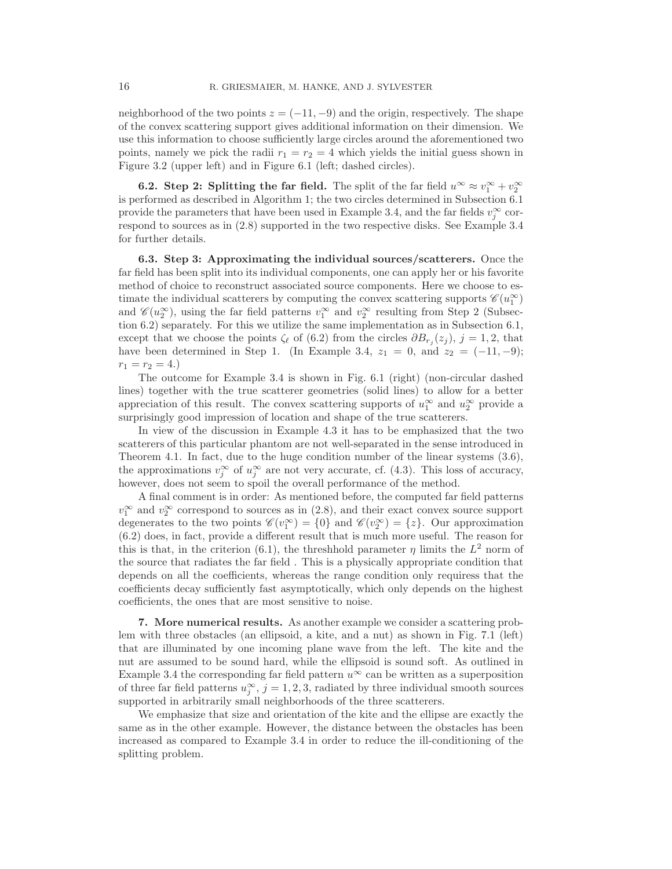neighborhood of the two points  $z = (-11, -9)$  and the origin, respectively. The shape of the convex scattering support gives additional information on their dimension. We use this information to choose sufficiently large circles around the aforementioned two points, namely we pick the radii  $r_1 = r_2 = 4$  which yields the initial guess shown in Figure 3.2 (upper left) and in Figure 6.1 (left; dashed circles).

**6.2. Step 2: Splitting the far field.** The split of the far field  $u^{\infty} \approx v_1^{\infty} + v_2^{\infty}$ is performed as described in Algorithm 1; the two circles determined in Subsection 6.1 provide the parameters that have been used in Example 3.4, and the far fields  $v_j^{\infty}$  correspond to sources as in (2.8) supported in the two respective disks. See Example 3.4 for further details.

6.3. Step 3: Approximating the individual sources/scatterers. Once the far field has been split into its individual components, one can apply her or his favorite method of choice to reconstruct associated source components. Here we choose to estimate the individual scatterers by computing the convex scattering supports  $\mathscr{C}(u_1^\infty)$ and  $\mathscr{C}(u_2^{\infty})$ , using the far field patterns  $v_1^{\infty}$  and  $v_2^{\infty}$  resulting from Step 2 (Subsection 6.2) separately. For this we utilize the same implementation as in Subsection 6.1, except that we choose the points  $\zeta_{\ell}$  of (6.2) from the circles  $\partial B_{r_j}(z_j)$ ,  $j=1,2$ , that have been determined in Step 1. (In Example 3.4,  $z_1 = 0$ , and  $z_2 = (-11, -9)$ ;  $r_1 = r_2 = 4.$ 

The outcome for Example 3.4 is shown in Fig. 6.1 (right) (non-circular dashed lines) together with the true scatterer geometries (solid lines) to allow for a better appreciation of this result. The convex scattering supports of  $u_1^{\infty}$  and  $u_2^{\infty}$  provide a surprisingly good impression of location and shape of the true scatterers.

In view of the discussion in Example 4.3 it has to be emphasized that the two scatterers of this particular phantom are not well-separated in the sense introduced in Theorem 4.1. In fact, due to the huge condition number of the linear systems (3.6), the approximations  $v_j^{\infty}$  of  $u_j^{\infty}$  are not very accurate, cf. (4.3). This loss of accuracy, however, does not seem to spoil the overall performance of the method.

A final comment is in order: As mentioned before, the computed far field patterns  $v_1^{\infty}$  and  $v_2^{\infty}$  correspond to sources as in (2.8), and their exact convex source support degenerates to the two points  $\mathscr{C}(v_1^{\infty}) = \{0\}$  and  $\mathscr{C}(v_2^{\infty}) = \{z\}$ . Our approximation (6.2) does, in fact, provide a different result that is much more useful. The reason for this is that, in the criterion (6.1), the threshhold parameter  $\eta$  limits the  $L^2$  norm of the source that radiates the far field . This is a physically appropriate condition that depends on all the coefficients, whereas the range condition only requiress that the coefficients decay sufficiently fast asymptotically, which only depends on the highest coefficients, the ones that are most sensitive to noise.

7. More numerical results. As another example we consider a scattering problem with three obstacles (an ellipsoid, a kite, and a nut) as shown in Fig. 7.1 (left) that are illuminated by one incoming plane wave from the left. The kite and the nut are assumed to be sound hard, while the ellipsoid is sound soft. As outlined in Example 3.4 the corresponding far field pattern  $u^{\infty}$  can be written as a superposition of three far field patterns  $u_j^{\infty}$ ,  $j = 1, 2, 3$ , radiated by three individual smooth sources supported in arbitrarily small neighborhoods of the three scatterers.

We emphasize that size and orientation of the kite and the ellipse are exactly the same as in the other example. However, the distance between the obstacles has been increased as compared to Example 3.4 in order to reduce the ill-conditioning of the splitting problem.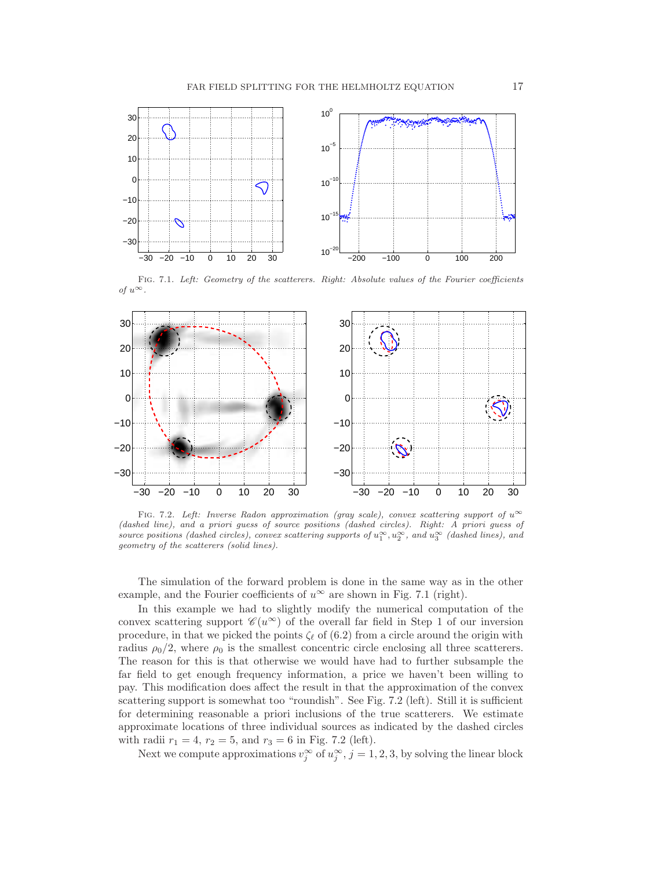

Fig. 7.1. Left: Geometry of the scatterers. Right: Absolute values of the Fourier coefficients of  $u^{\infty}$ .



FIG. 7.2. Left: Inverse Radon approximation (gray scale), convex scattering support of  $u^{\infty}$ (dashed line), and a priori guess of source positions (dashed circles). Right: A priori guess of source positions (dashed circles), convex scattering supports of  $u_1^{\infty}, u_2^{\infty}$ , and  $u_3^{\infty}$  (dashed lines), and geometry of the scatterers (solid lines).

The simulation of the forward problem is done in the same way as in the other example, and the Fourier coefficients of  $u^{\infty}$  are shown in Fig. 7.1 (right).

In this example we had to slightly modify the numerical computation of the convex scattering support  $\mathscr{C}(u^{\infty})$  of the overall far field in Step 1 of our inversion procedure, in that we picked the points  $\zeta_{\ell}$  of (6.2) from a circle around the origin with radius  $\rho_0/2$ , where  $\rho_0$  is the smallest concentric circle enclosing all three scatterers. The reason for this is that otherwise we would have had to further subsample the far field to get enough frequency information, a price we haven't been willing to pay. This modification does affect the result in that the approximation of the convex scattering support is somewhat too "roundish". See Fig. 7.2 (left). Still it is sufficient for determining reasonable a priori inclusions of the true scatterers. We estimate approximate locations of three individual sources as indicated by the dashed circles with radii  $r_1 = 4$ ,  $r_2 = 5$ , and  $r_3 = 6$  in Fig. 7.2 (left).

Next we compute approximations  $v_j^{\infty}$  of  $u_j^{\infty}$ ,  $j = 1, 2, 3$ , by solving the linear block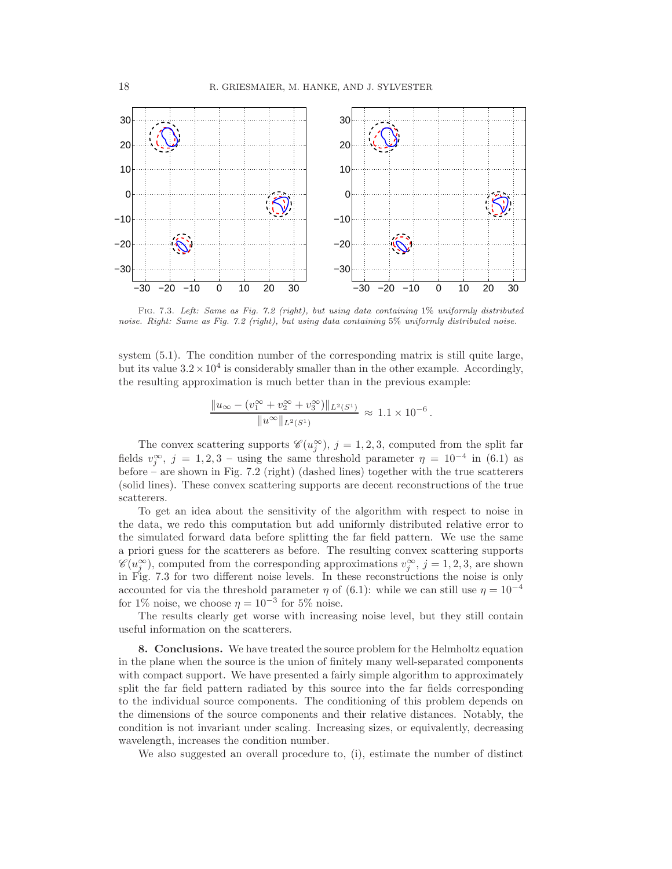

FIG. 7.3. Left: Same as Fig. 7.2 (right), but using data containing  $1\%$  uniformly distributed noise. Right: Same as Fig. 7.2 (right), but using data containing 5% uniformly distributed noise.

system (5.1). The condition number of the corresponding matrix is still quite large, but its value  $3.2 \times 10^4$  is considerably smaller than in the other example. Accordingly, the resulting approximation is much better than in the previous example:

$$
\frac{\|u_{\infty} - (v_1^{\infty} + v_2^{\infty} + v_3^{\infty})\|_{L^2(S^1)}}{\|u^{\infty}\|_{L^2(S^1)}} \approx 1.1 \times 10^{-6}.
$$

The convex scattering supports  $\mathscr{C}(u_j^{\infty}), j = 1, 2, 3$ , computed from the split far fields  $v_j^{\infty}$ ,  $j = 1, 2, 3$  – using the same threshold parameter  $\eta = 10^{-4}$  in (6.1) as before – are shown in Fig. 7.2 (right) (dashed lines) together with the true scatterers (solid lines). These convex scattering supports are decent reconstructions of the true scatterers.

To get an idea about the sensitivity of the algorithm with respect to noise in the data, we redo this computation but add uniformly distributed relative error to the simulated forward data before splitting the far field pattern. We use the same a priori guess for the scatterers as before. The resulting convex scattering supports  $\mathscr{C}(u_j^{\infty})$ , computed from the corresponding approximations  $v_j^{\infty}$ ,  $j = 1, 2, 3$ , are shown in Fig. 7.3 for two different noise levels. In these reconstructions the noise is only accounted for via the threshold parameter  $\eta$  of (6.1): while we can still use  $\eta = 10^{-4}$ for 1% noise, we choose  $\eta = 10^{-3}$  for 5% noise.

The results clearly get worse with increasing noise level, but they still contain useful information on the scatterers.

8. Conclusions. We have treated the source problem for the Helmholtz equation in the plane when the source is the union of finitely many well-separated components with compact support. We have presented a fairly simple algorithm to approximately split the far field pattern radiated by this source into the far fields corresponding to the individual source components. The conditioning of this problem depends on the dimensions of the source components and their relative distances. Notably, the condition is not invariant under scaling. Increasing sizes, or equivalently, decreasing wavelength, increases the condition number.

We also suggested an overall procedure to, (i), estimate the number of distinct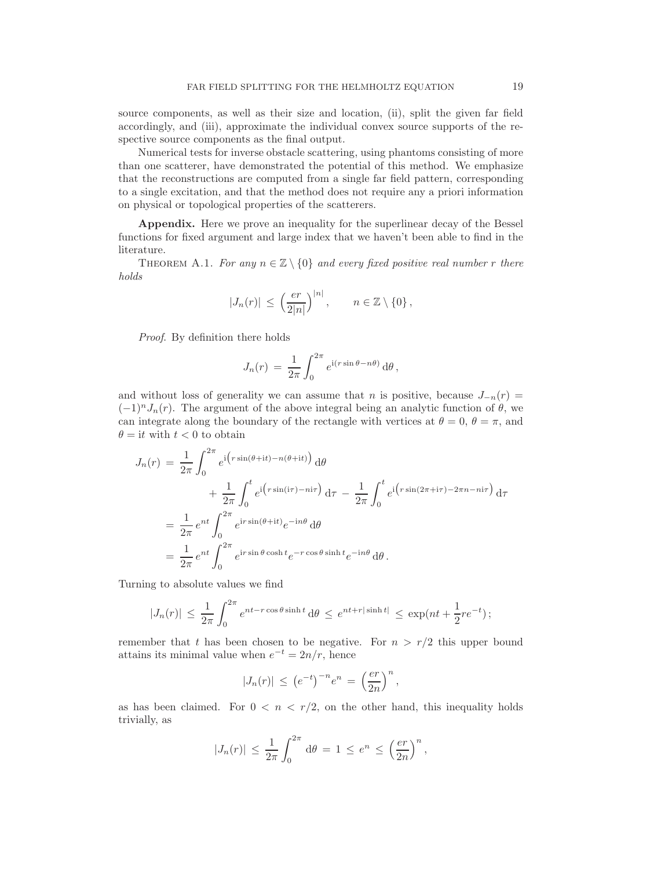source components, as well as their size and location, (ii), split the given far field accordingly, and (iii), approximate the individual convex source supports of the respective source components as the final output.

Numerical tests for inverse obstacle scattering, using phantoms consisting of more than one scatterer, have demonstrated the potential of this method. We emphasize that the reconstructions are computed from a single far field pattern, corresponding to a single excitation, and that the method does not require any a priori information on physical or topological properties of the scatterers.

Appendix. Here we prove an inequality for the superlinear decay of the Bessel functions for fixed argument and large index that we haven't been able to find in the literature.

THEOREM A.1. For any  $n \in \mathbb{Z} \setminus \{0\}$  and every fixed positive real number r there holds

$$
|J_n(r)| \leq \left(\frac{er}{2|n|}\right)^{|n|}, \qquad n \in \mathbb{Z} \setminus \{0\},\,
$$

Proof. By definition there holds

$$
J_n(r) = \frac{1}{2\pi} \int_0^{2\pi} e^{i(r\sin\theta - n\theta)} d\theta,
$$

and without loss of generality we can assume that n is positive, because  $J_{-n}(r)$  =  $(-1)^n J_n(r)$ . The argument of the above integral being an analytic function of  $\theta$ , we can integrate along the boundary of the rectangle with vertices at  $\theta = 0$ ,  $\theta = \pi$ , and  $\theta =$ it with  $t < 0$  to obtain

$$
J_n(r) = \frac{1}{2\pi} \int_0^{2\pi} e^{i(r\sin(\theta + it) - n(\theta + it))} d\theta
$$
  
+ 
$$
\frac{1}{2\pi} \int_0^t e^{i(r\sin(i\tau) - ni\tau)} d\tau - \frac{1}{2\pi} \int_0^t e^{i(r\sin(2\pi + i\tau) - 2\pi n - ni\tau)} d\tau
$$
  
= 
$$
\frac{1}{2\pi} e^{nt} \int_0^{2\pi} e^{ir\sin(\theta + it)} e^{-in\theta} d\theta
$$
  
= 
$$
\frac{1}{2\pi} e^{nt} \int_0^{2\pi} e^{ir\sin\theta \cosh t} e^{-r\cos\theta \sinh t} e^{-in\theta} d\theta.
$$

Turning to absolute values we find

$$
|J_n(r)| \le \frac{1}{2\pi} \int_0^{2\pi} e^{nt-r\cos\theta\sinh t} d\theta \le e^{nt+r|\sinh t|} \le \exp(nt + \frac{1}{2}re^{-t});
$$

remember that t has been chosen to be negative. For  $n > r/2$  this upper bound attains its minimal value when  $e^{-t} = 2n/r$ , hence

$$
|J_n(r)| \le (e^{-t})^{-n} e^n = \left(\frac{e r}{2n}\right)^n,
$$

as has been claimed. For  $0 < n < r/2$ , on the other hand, this inequality holds trivially, as

$$
|J_n(r)| \leq \frac{1}{2\pi} \int_0^{2\pi} d\theta = 1 \leq e^n \leq \left(\frac{e r}{2n}\right)^n,
$$